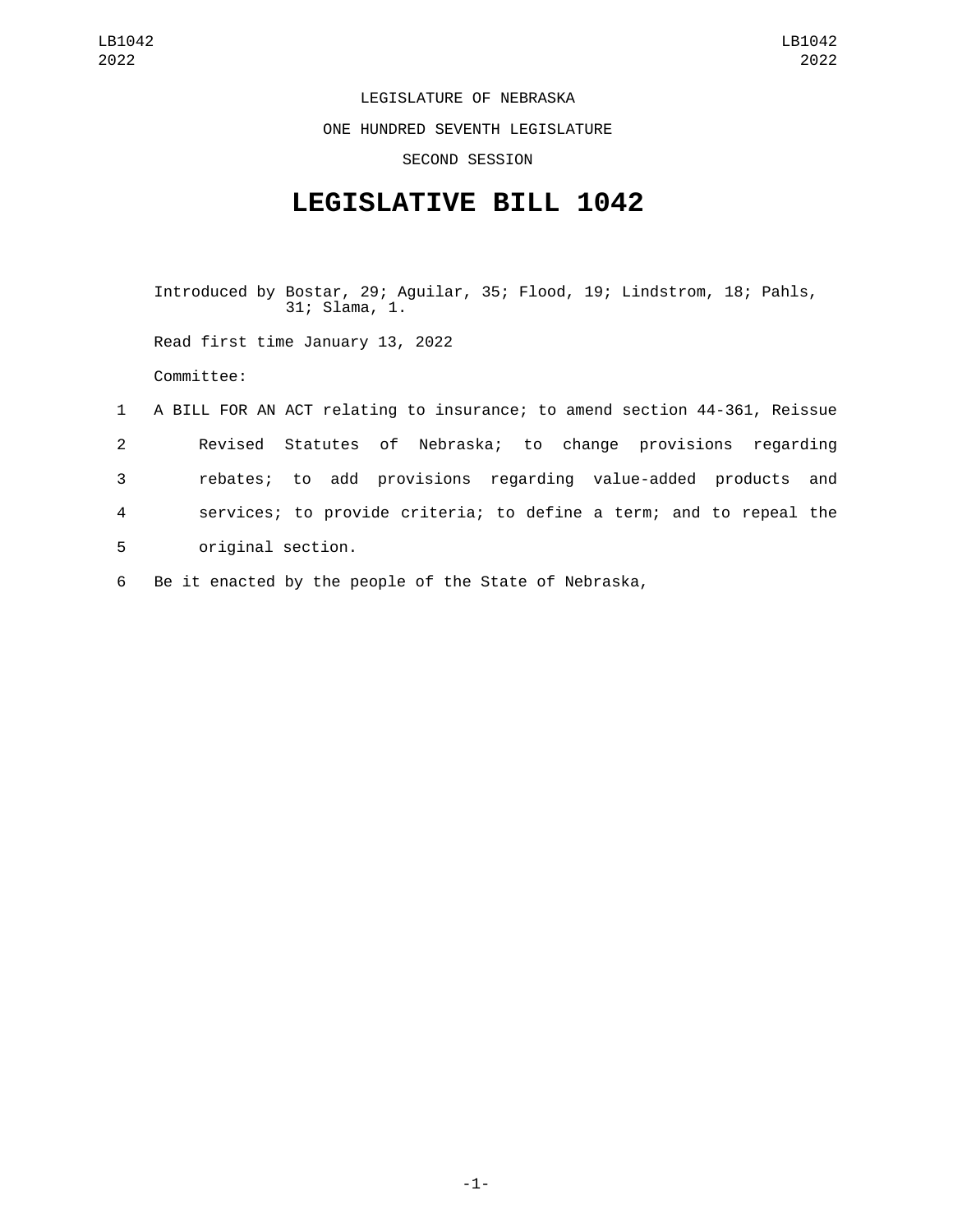LEGISLATURE OF NEBRASKA ONE HUNDRED SEVENTH LEGISLATURE

SECOND SESSION

## **LEGISLATIVE BILL 1042**

Introduced by Bostar, 29; Aguilar, 35; Flood, 19; Lindstrom, 18; Pahls, 31; Slama, 1.

Read first time January 13, 2022

Committee:

 A BILL FOR AN ACT relating to insurance; to amend section 44-361, Reissue Revised Statutes of Nebraska; to change provisions regarding rebates; to add provisions regarding value-added products and services; to provide criteria; to define a term; and to repeal the 5 original section.

6 Be it enacted by the people of the State of Nebraska,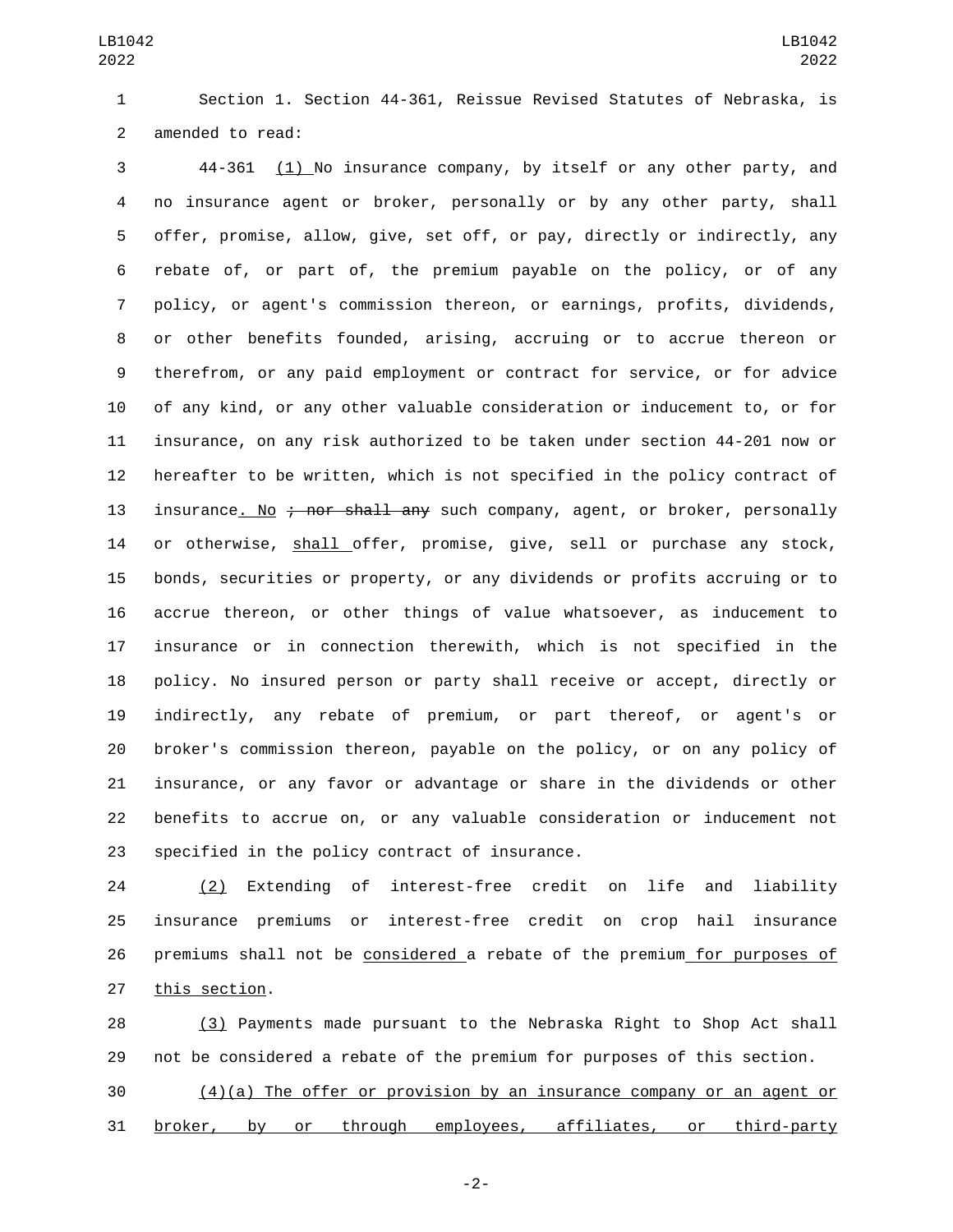Section 1. Section 44-361, Reissue Revised Statutes of Nebraska, is 2 amended to read:

 44-361 (1) No insurance company, by itself or any other party, and no insurance agent or broker, personally or by any other party, shall offer, promise, allow, give, set off, or pay, directly or indirectly, any rebate of, or part of, the premium payable on the policy, or of any policy, or agent's commission thereon, or earnings, profits, dividends, or other benefits founded, arising, accruing or to accrue thereon or therefrom, or any paid employment or contract for service, or for advice of any kind, or any other valuable consideration or inducement to, or for insurance, on any risk authorized to be taken under section 44-201 now or hereafter to be written, which is not specified in the policy contract of 13 insurance. No  $\div$  nor shall any such company, agent, or broker, personally or otherwise, shall offer, promise, give, sell or purchase any stock, bonds, securities or property, or any dividends or profits accruing or to accrue thereon, or other things of value whatsoever, as inducement to insurance or in connection therewith, which is not specified in the policy. No insured person or party shall receive or accept, directly or indirectly, any rebate of premium, or part thereof, or agent's or broker's commission thereon, payable on the policy, or on any policy of insurance, or any favor or advantage or share in the dividends or other benefits to accrue on, or any valuable consideration or inducement not 23 specified in the policy contract of insurance.

 (2) Extending of interest-free credit on life and liability insurance premiums or interest-free credit on crop hail insurance 26 premiums shall not be considered a rebate of the premium for purposes of 27 this section.

 (3) Payments made pursuant to the Nebraska Right to Shop Act shall not be considered a rebate of the premium for purposes of this section.

 (4)(a) The offer or provision by an insurance company or an agent or 31 broker, by or through employees, affiliates, or third-party

-2-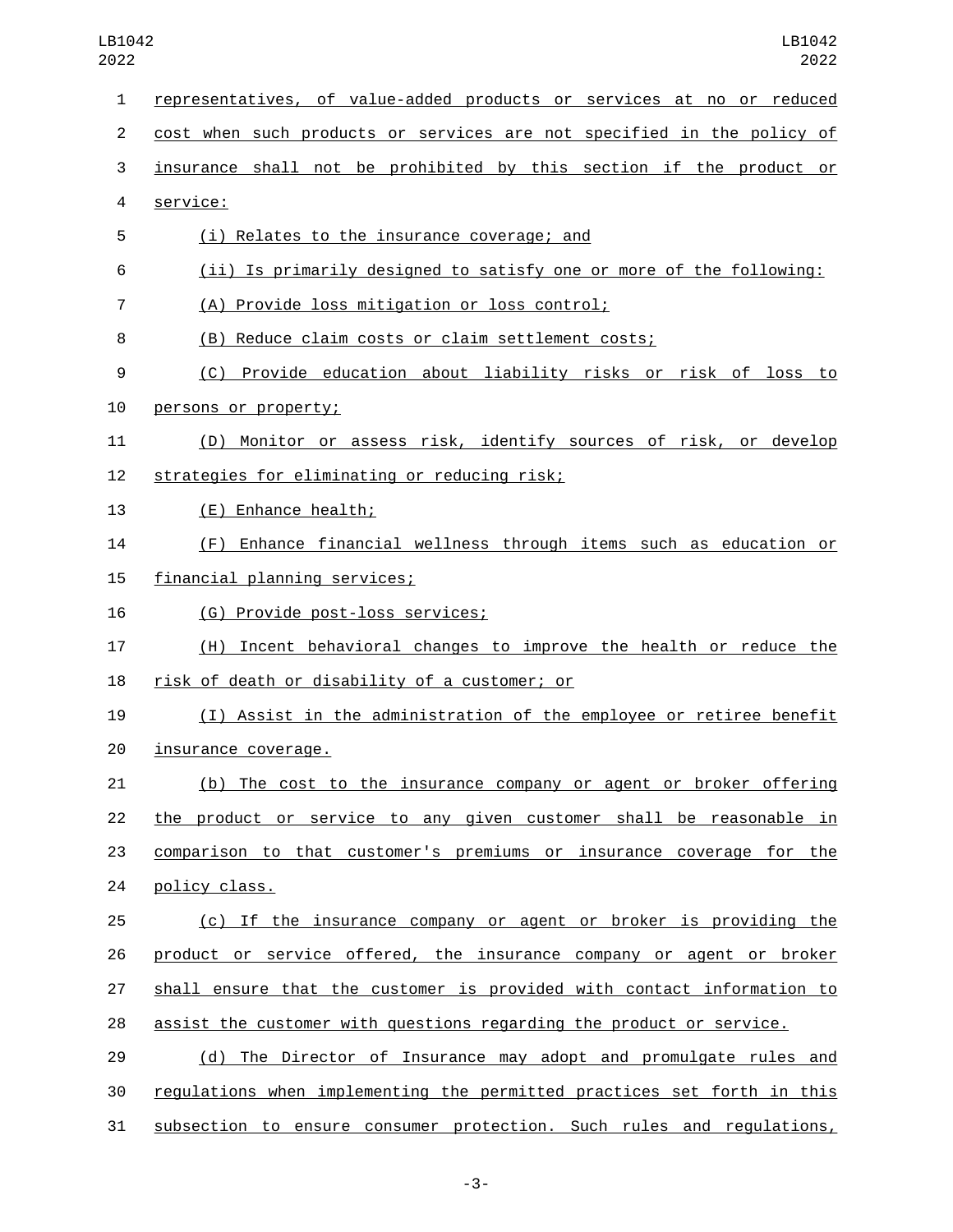| 1              | representatives, of value-added products or services at no or reduced    |
|----------------|--------------------------------------------------------------------------|
| $\overline{2}$ | cost when such products or services are not specified in the policy of   |
| 3              | insurance shall not be prohibited by this section if the product or      |
| 4              | service:                                                                 |
| 5              | (i) Relates to the insurance coverage; and                               |
| 6              | (ii) Is primarily designed to satisfy one or more of the following:      |
| 7              | (A) Provide loss mitigation or loss control;                             |
| 8              | (B) Reduce claim costs or claim settlement costs;                        |
| 9              | (C) Provide education about liability risks or risk of loss to           |
| 10             | persons or property;                                                     |
| 11             | (D) Monitor or assess risk, identify sources of risk, or develop         |
| 12             | strategies for eliminating or reducing risk;                             |
| 13             | (E) Enhance health;                                                      |
| 14             | (F) Enhance financial wellness through items such as education or        |
| 15             | financial planning services;                                             |
| 16             | (G) Provide post-loss services;                                          |
| 17             | (H) Incent behavioral changes to improve the health or reduce the        |
| 18             | risk of death or disability of a customer; or                            |
| 19             | (I) Assist in the administration of the employee or retiree benefit      |
| 20             | insurance coverage.                                                      |
| 21             | <u>(b) The cost to the insurance company or agent or broker offering</u> |
| 22             | the product or service to any given customer shall be reasonable in      |
| 23             | comparison to that customer's premiums or insurance coverage for the     |
| 24             | policy class.                                                            |
| 25             | (c) If the insurance company or agent or broker is providing the         |
| 26             | product or service offered, the insurance company or agent or broker     |
| 27             | shall ensure that the customer is provided with contact information to   |
| 28             | assist the customer with questions regarding the product or service.     |
| 29             | (d) The Director of Insurance may adopt and promulgate rules and         |
| 30             | regulations when implementing the permitted practices set forth in this  |
| 31             | subsection to ensure consumer protection. Such rules and regulations,    |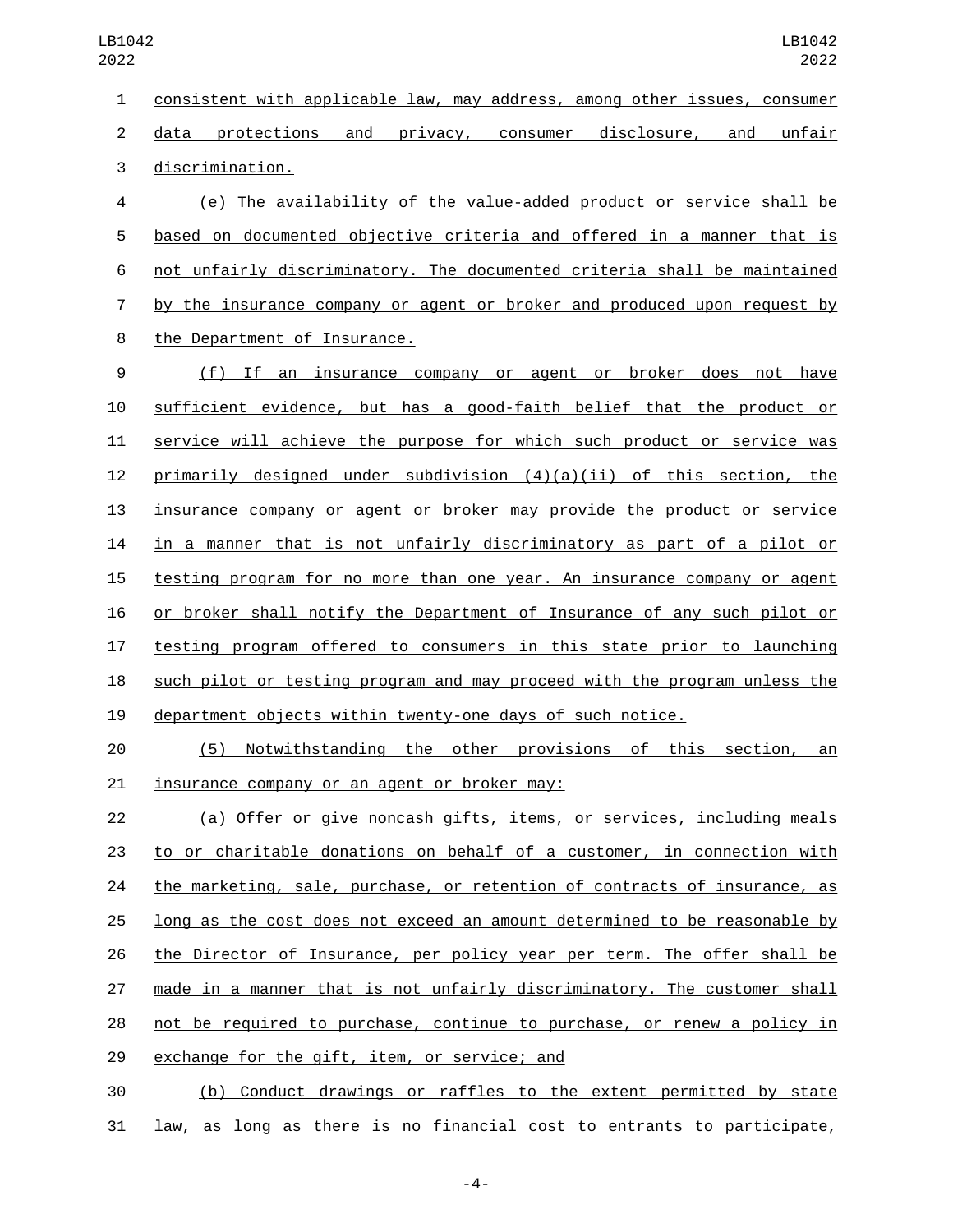consistent with applicable law, may address, among other issues, consumer 2 data protections and privacy, consumer disclosure, and unfair discrimination.3

 (e) The availability of the value-added product or service shall be based on documented objective criteria and offered in a manner that is not unfairly discriminatory. The documented criteria shall be maintained by the insurance company or agent or broker and produced upon request by 8 the Department of Insurance.

 (f) If an insurance company or agent or broker does not have sufficient evidence, but has a good-faith belief that the product or service will achieve the purpose for which such product or service was 12 primarily designed under subdivision  $(4)(a)(ii)$  of this section, the insurance company or agent or broker may provide the product or service in a manner that is not unfairly discriminatory as part of a pilot or testing program for no more than one year. An insurance company or agent or broker shall notify the Department of Insurance of any such pilot or testing program offered to consumers in this state prior to launching such pilot or testing program and may proceed with the program unless the department objects within twenty-one days of such notice.

 (5) Notwithstanding the other provisions of this section, an 21 insurance company or an agent or broker may:

 (a) Offer or give noncash gifts, items, or services, including meals to or charitable donations on behalf of a customer, in connection with 24 the marketing, sale, purchase, or retention of contracts of insurance, as long as the cost does not exceed an amount determined to be reasonable by the Director of Insurance, per policy year per term. The offer shall be made in a manner that is not unfairly discriminatory. The customer shall not be required to purchase, continue to purchase, or renew a policy in 29 exchange for the gift, item, or service; and

 (b) Conduct drawings or raffles to the extent permitted by state law, as long as there is no financial cost to entrants to participate,

-4-